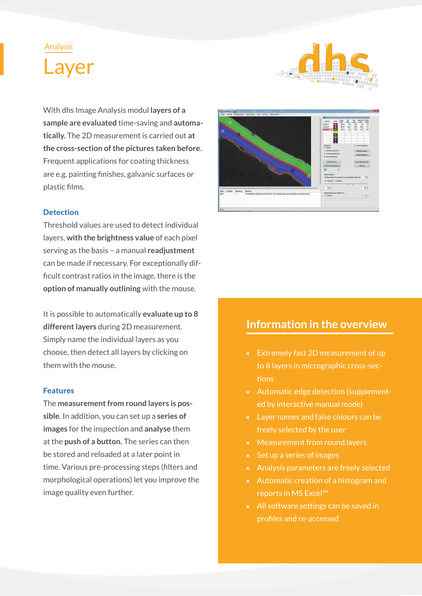## Analysis





With dhs Image Analysis modul **layers of a sample are evaluated** time-saving and **automatically.** The 2D measurement is carried out **at the cross-section of the pictures taken before**. Frequent applications for coating thickness are e.g. painting finishes, galvanic surfaces or plastic films.

### **Detection**

Threshold values are used to detect individual layers, **with the brightness value** of each pixel serving as the basis – a manual **readjustment**  can be made if necessary. For exceptionally difficult contrast ratios in the image, there is the **option of manually outlining** with the mouse.

It is possible to automatically **evaluate up to 8 different layers** during 2D measurement. Simply name the individual layers as you choose, then detect all layers by clicking on them with the mouse.

#### Features

The **measurement from round layers is possible**. In addition, you can set up a **series of images** for the inspection and **analyse** them at the **push of a button.** The series can then be stored and reloaded at a later point in time. Various pre-processing steps (filters and morphological operations) let you improve the image quality even further.



# **Information in the overview**

- Extremely fast 2D measurement of up to 8 layers in micrographic cross-sections
- Automatic edge detection (supplemented by interactive manual mode)
- Layer names and false colours can be freely selected by the user
- Measurement from round layers
- Set up a series of images
- Analysis parameters are freely selected
- Automatic creation of a histogram and reports in MS Excel™
- All software settings can be saved in profiles and re-accessed